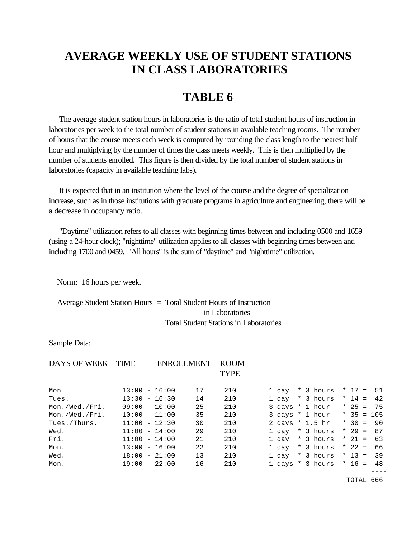## **AVERAGE WEEKLY USE OF STUDENT STATIONS IN CLASS LABORATORIES**

## **TABLE 6**

 The average student station hours in laboratories is the ratio of total student hours of instruction in laboratories per week to the total number of student stations in available teaching rooms. The number of hours that the course meets each week is computed by rounding the class length to the nearest half hour and multiplying by the number of times the class meets weekly. This is then multiplied by the number of students enrolled. This figure is then divided by the total number of student stations in laboratories (capacity in available teaching labs).

 It is expected that in an institution where the level of the course and the degree of specialization increase, such as in those institutions with graduate programs in agriculture and engineering, there will be a decrease in occupancy ratio.

 "Daytime" utilization refers to all classes with beginning times between and including 0500 and 1659 (using a 24-hour clock); "nighttime" utilization applies to all classes with beginning times between and including 1700 and 0459. "All hours" is the sum of "daytime" and "nighttime" utilization.

Norm: 16 hours per week.

 Average Student Station Hours = Total Student Hours of Instruction in Laboratories Total Student Stations in Laboratories

Sample Data:

| DAYS OF WEEK TIME |                 | ENROLLMENT | <b>ROOM</b><br><b>TYPE</b> |       |                            |  |             |
|-------------------|-----------------|------------|----------------------------|-------|----------------------------|--|-------------|
| Mon               | $13:00 - 16:00$ | 17         | 210                        |       | 1 day * 3 hours            |  | $*$ 17 = 51 |
| Tues.             | $13:30 - 16:30$ | 14         | 210                        |       | 1 day * 3 hours            |  | * 14 = 42   |
| Mon./Wed./Fri.    | $09:00 - 10:00$ | 25         | 210                        |       | 3 days * 1 hour            |  | $* 25 = 75$ |
| Mon./Wed./Fri.    | $10:00 - 11:00$ | 35         | 210                        |       | 3 days * 1 hour * 35 = 105 |  |             |
| Tues./Thurs.      | $11:00 - 12:30$ | 30         | 210                        |       | 2 days * 1.5 hr            |  | $* 30 = 90$ |
| Wed.              | $11:00 - 14:00$ | 29         | 210                        |       | 1 day * 3 hours            |  | * 29 = $87$ |
| Fri.              | $11:00 - 14:00$ | 21         | 210                        |       | 1 day * 3 hours            |  | $* 21 = 63$ |
| Mon.              | $13:00 - 16:00$ | 22         | 210                        |       | 1 day * 3 hours            |  | $* 22 = 66$ |
| Wed.              | $18:00 - 21:00$ | 13         | 210                        | 1 day | * 3 hours * 13 = 39        |  |             |
| Mon.              | $19:00 - 22:00$ | 16         | 210                        |       | 1 days * 3 hours * 16 = 48 |  |             |

----

TOTAL 666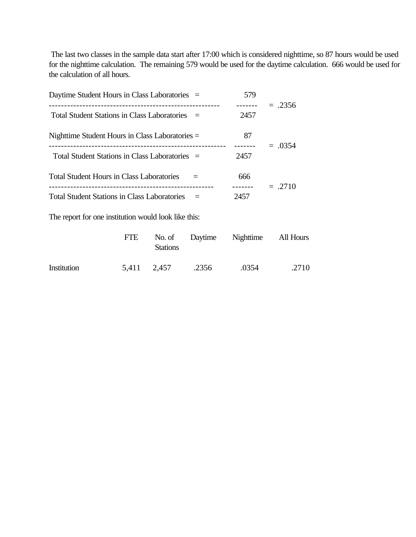The last two classes in the sample data start after 17:00 which is considered nighttime, so 87 hours would be used for the nighttime calculation. The remaining 579 would be used for the daytime calculation. 666 would be used for the calculation of all hours.

| Daytime Student Hours in Class Laboratories =       | 579  |           |
|-----------------------------------------------------|------|-----------|
| Total Student Stations in Class Laboratories =      | 2457 | $=.2356$  |
| Nighttime Student Hours in Class Laboratories $=$   | 87   | $=.0354$  |
| Total Student Stations in Class Laboratories =      | 2457 |           |
| <b>Total Student Hours in Class Laboratories</b>    | 666  | $= .2710$ |
| <b>Total Student Stations in Class Laboratories</b> | 2457 |           |

The report for one institution would look like this:

|             | <b>FTE</b> | <b>Stations</b> |       | No. of Daytime Nighttime All Hours |       |
|-------------|------------|-----------------|-------|------------------------------------|-------|
| Institution |            | 5,411 2,457     | .2356 | .0354                              | .2710 |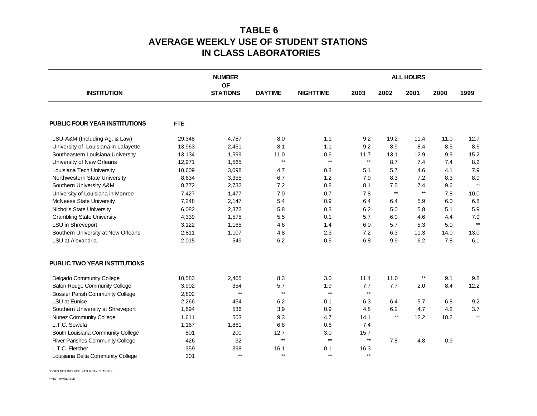## **TABLE 6 AVERAGE WEEKLY USE OF STUDENT STATIONS IN CLASS LABORATORIES**

|                                         |            | <b>NUMBER</b>                |                 |                  | <b>ALL HOURS</b> |                 |                 |      |              |
|-----------------------------------------|------------|------------------------------|-----------------|------------------|------------------|-----------------|-----------------|------|--------------|
| <b>INSTITUTION</b>                      |            | <b>OF</b><br><b>STATIONS</b> | <b>DAYTIME</b>  | <b>NIGHTTIME</b> | 2003             | 2002            | 2001            | 2000 | 1999         |
| <b>PUBLIC FOUR YEAR INSTITUTIONS</b>    | <b>FTE</b> |                              |                 |                  |                  |                 |                 |      |              |
| LSU-A&M (Including Ag. & Law)           | 29,348     | 4,787                        | 8.0             | 1.1              | 9.2              | 19.2            | 11.4            | 11.0 | 12.7         |
| University of Louisiana in Lafayette    | 13,963     | 2,451                        | 8.1             | 1.1              | 9.2              | 8.9             | 8.4             | 8.5  | 8.6          |
| Southeastern Louisiana University       | 13,134     | 1,599                        | 11.0            | 0.6              | 11.7             | 13.1            | 12.9            | 9.9  | 15.2         |
| University of New Orleans               | 12,971     | 1,565                        | $\star\star$    | $\star\star$     | $^{\star\star}$  | 8.7             | 7.4             | 7.4  | 8.2          |
| Louisiana Tech University               | 10,609     | 3,098                        | 4.7             | 0.3              | 5.1              | 5.7             | 4.6             | 4.1  | 7.9          |
| Northwestern State University           | 8,634      | 3,355                        | 6.7             | 1.2              | 7.9              | 8.3             | 7.2             | 8.3  | 8.9          |
| Southern University A&M                 | 8,772      | 2,732                        | 7.2             | 0.8              | 8.1              | 7.5             | 7.4             | 9.6  | $**$         |
| University of Louisiana in Monroe       | 7,427      | 1,477                        | 7.0             | 0.7              | 7.8              | $^{\star\star}$ | $^{\star\star}$ | 7.8  | 10.0         |
| <b>McNeese State University</b>         | 7,248      | 2,147                        | 5.4             | 0.9              | 6.4              | 6.4             | 5.9             | 6.0  | 6.8          |
| <b>Nicholls State University</b>        | 6,082      | 2,372                        | 5.8             | 0.3              | 6.2              | 5.0             | 5.8             | 5.1  | 5.9          |
| <b>Grambling State University</b>       | 4,339      | 1,575                        | 5.5             | 0.1              | 5.7              | 6.0             | 4.6             | 4.4  | 7.9          |
| LSU in Shreveport                       | 3,122      | 1,165                        | 4.6             | 1.4              | 6.0              | 5.7             | 5.3             | 5.0  | $**$         |
| Southern University at New Orleans      | 2,811      | 1,107                        | 4.8             | 2.3              | 7.2              | 6.3             | 11.3            | 14.0 | 13.0         |
| LSU at Alexandria                       | 2,015      | 549                          | 6.2             | 0.5              | 6.8              | 9.9             | 6.2             | 7.8  | 6.1          |
| <b>PUBLIC TWO YEAR INSTITUTIONS</b>     |            |                              |                 |                  |                  |                 |                 |      |              |
| Delgado Community College               | 10,583     | 2,465                        | 8.3             | 3.0              | 11.4             | 11.0            | $^{\star\star}$ | 9.1  | 9.8          |
| <b>Baton Rouge Community College</b>    | 3,902      | 354                          | 5.7             | 1.9              | 7.7              | 7.7             | 2.0             | 8.4  | 12.2         |
| <b>Bossier Parish Community College</b> | 2,802      | $\star\star$                 | $^{\star\star}$ | $\star\star$     | $\star\star$     |                 |                 |      |              |
| <b>LSU</b> at Eunice                    | 2,266      | 454                          | 6.2             | 0.1              | 6.3              | 6.4             | 5.7             | 6.8  | 9.2          |
| Southern University at Shreveport       | 1,694      | 536                          | 3.9             | 0.9              | 4.8              | 6.2             | 4.7             | 4.2  | 3.7          |
| <b>Nunez Community College</b>          | 1,611      | 503                          | 9.3             | 4.7              | 14.1             | $^{\star\star}$ | 12.2            | 10.2 | $\star\star$ |
| L.T.C. Sowela                           | 1,167      | 1,861                        | 6.8             | 0.6              | 7.4              |                 |                 |      |              |
| South Louisiana Community College       | 801        | 200                          | 12.7            | 3.0              | 15.7             |                 |                 |      |              |
| <b>River Parishes Community College</b> | 426        | 32                           | $**$            | $**$             | $^{\star\star}$  | 7.8             | 4.8             | 0.9  |              |
| L.T.C. Fletcher                         | 359        | 398                          | 16.1            | 0.1              | 16.3             |                 |                 |      |              |
| Louisiana Delta Community College       | 301        | $**$                         | $**$            | $**$             | $**$             |                 |                 |      |              |

\*DOES NOT INCLUDE SATURDAY CLASSES

\*\*NOT AVAILABLE